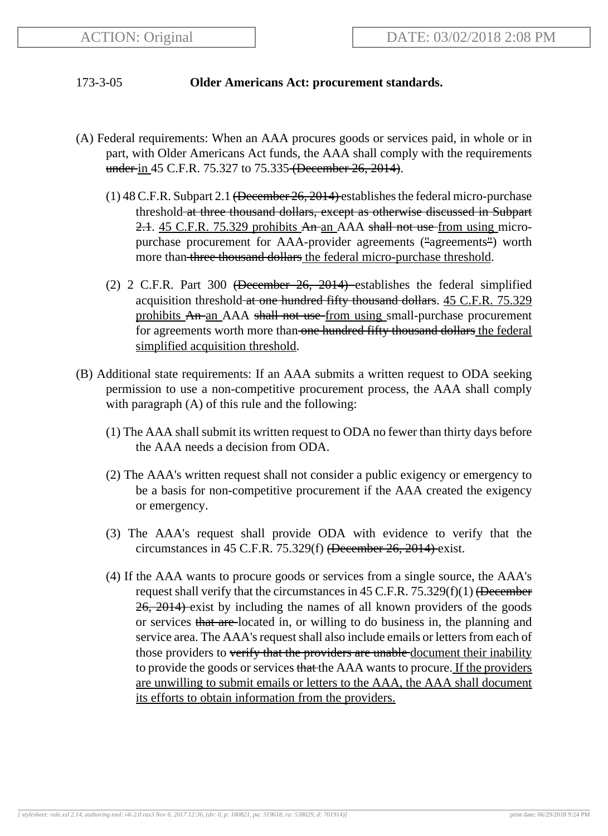## 173-3-05 **Older Americans Act: procurement standards.**

- (A) Federal requirements: When an AAA procures goods or services paid, in whole or in part, with Older Americans Act funds, the AAA shall comply with the requirements under in 45 C.F.R. 75.327 to 75.335 (December 26, 2014).
	- (1) 48 C.F.R. Subpart 2.1 (December 26, 2014) establishes the federal micro-purchase threshold at three thousand dollars, except as otherwise discussed in Subpart 2.1. 45 C.F.R. 75.329 prohibits An an AAA shall not use from using micropurchase procurement for AAA-provider agreements ("agreements") worth more than three thousand dollars the federal micro-purchase threshold.
	- (2) 2 C.F.R. Part 300 (December 26, 2014) establishes the federal simplified acquisition threshold at one hundred fifty thousand dollars. 45 C.F.R. 75.329 prohibits An an AAA shall not use from using small-purchase procurement for agreements worth more than one hundred fifty thousand dollars the federal simplified acquisition threshold.
- (B) Additional state requirements: If an AAA submits a written request to ODA seeking permission to use a non-competitive procurement process, the AAA shall comply with paragraph (A) of this rule and the following:
	- (1) The AAA shall submit its written request to ODA no fewer than thirty days before the AAA needs a decision from ODA.
	- (2) The AAA's written request shall not consider a public exigency or emergency to be a basis for non-competitive procurement if the AAA created the exigency or emergency.
	- (3) The AAA's request shall provide ODA with evidence to verify that the circumstances in 45 C.F.R. 75.329(f) (December 26, 2014) exist.
	- (4) If the AAA wants to procure goods or services from a single source, the AAA's request shall verify that the circumstances in  $45$  C.F.R.  $75.329(f)(1)$  (December 26, 2014) exist by including the names of all known providers of the goods or services that are located in, or willing to do business in, the planning and service area. The AAA's request shall also include emails or letters from each of those providers to verify that the providers are unable document their inability to provide the goods or services that the AAA wants to procure. If the providers are unwilling to submit emails or letters to the AAA, the AAA shall document its efforts to obtain information from the providers.